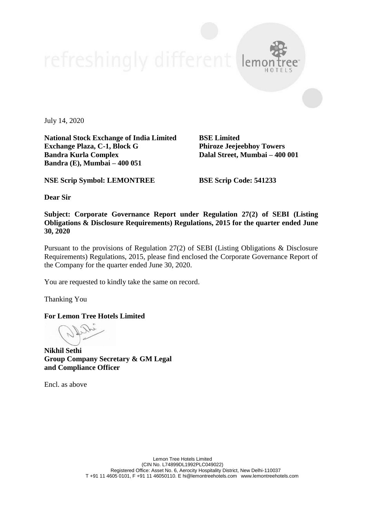July 14, 2020

**National Stock Exchange of India Limited BSE Limited Exchange Plaza, C-1, Block G Phiroze Jeejeebhoy Towers Bandra Kurla Complex Dalal Street, Mumbai – 400 001 Bandra (E), Mumbai – 400 051**

**NSE Scrip Symbol: LEMONTREE BSE Scrip Code: 541233**

**Dear Sir**

**Subject: Corporate Governance Report under Regulation 27(2) of SEBI (Listing Obligations & Disclosure Requirements) Regulations, 2015 for the quarter ended June 30, 2020**

Pursuant to the provisions of Regulation 27(2) of SEBI (Listing Obligations & Disclosure Requirements) Regulations, 2015, please find enclosed the Corporate Governance Report of the Company for the quarter ended June 30, 2020.

You are requested to kindly take the same on record.

Thanking You

**For Lemon Tree Hotels Limited**

**Nikhil Sethi Group Company Secretary & GM Legal and Compliance Officer**

Encl. as above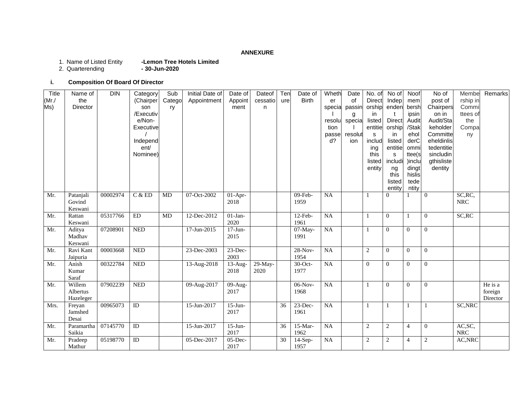# **ANNEXURE**

- -Lemon Tree Hotels Limited<br>- 30-Jun-2020 1. Name of Listed Entity<br>2. Quarterending
- 
- 

# **i. Composition Of Board Of Director**

| Title | Name of               | <b>DIN</b> | Category         | Sub    | Initial Date of | Date of    | Dateof    | Ten | Date of      | Wheth          | Date    | No. of         | No of             | Noof           | No of                    | Membe       | Remarks             |
|-------|-----------------------|------------|------------------|--------|-----------------|------------|-----------|-----|--------------|----------------|---------|----------------|-------------------|----------------|--------------------------|-------------|---------------------|
| (Mr./ | the                   |            | (Chairper        | Catego | Appointment     | Appoint    | cessatio  | ure | <b>Birth</b> | er             | of      | <b>Direct</b>  | Indep             | mem            | post of                  | rship in    |                     |
| Ms)   | Director              |            | son              | ry     |                 | ment       | n         |     |              | specia         | passin  | orship         | enden             | bersh          | Chairpers                | Commi       |                     |
|       |                       |            | /Executiv        |        |                 |            |           |     |              |                | g       | in.            |                   | ipsin          | on in                    | ttees of    |                     |
|       |                       |            | e/Non-           |        |                 |            |           |     |              | resolu         | specia  | listed         | Direct            | Audit          | Audit/Sta                | the         |                     |
|       |                       |            | Executive        |        |                 |            |           |     |              | tion           |         | entitie        | orship            | /Stak          | keholder                 | Compa       |                     |
|       |                       |            |                  |        |                 |            |           |     |              | passe<br>$d$ ? | resolut | s              | in                | ehol<br>derC   | Committe                 | ny          |                     |
|       |                       |            | Independ<br>ent/ |        |                 |            |           |     |              |                | ion     | includ         | listed<br>entitie |                | eheldinlis<br>tedentitie |             |                     |
|       |                       |            | Nominee)         |        |                 |            |           |     |              |                |         | ing<br>this    | s                 | ommi<br>ttee(s | sincludin                |             |                     |
|       |                       |            |                  |        |                 |            |           |     |              |                |         | listed         | includi           | )inclu         | gthisliste               |             |                     |
|       |                       |            |                  |        |                 |            |           |     |              |                |         | entity         | ng                | dingt          | dentity                  |             |                     |
|       |                       |            |                  |        |                 |            |           |     |              |                |         |                | this              | hislis         |                          |             |                     |
|       |                       |            |                  |        |                 |            |           |     |              |                |         |                | listed            | tede           |                          |             |                     |
|       |                       |            |                  |        |                 |            |           |     |              |                |         |                | entity            | ntity          |                          |             |                     |
| Mr.   | Patanjali             | 00002974   | C & ED           | MD     | $07 - Oct-2002$ | $01-Apr-$  |           |     | $09$ -Feb-   | NA             |         |                | $\Omega$          |                | $\overline{0}$           | SC, RC,     |                     |
|       | Govind                |            |                  |        |                 | 2018       |           |     | 1959         |                |         |                |                   |                |                          | <b>NRC</b>  |                     |
|       | Keswani               |            |                  |        |                 |            |           |     |              |                |         |                |                   |                |                          |             |                     |
| Mr.   | Rattan                | 05317766   | ED               | MD     | 12-Dec-2012     | $01-Jan-$  |           |     | $12-Feb-$    | NA             |         |                | $\overline{0}$    |                | $\overline{0}$           | SC, RC      |                     |
|       | Keswani               |            |                  |        |                 | 2020       |           |     | 1961         |                |         |                |                   |                |                          |             |                     |
| Mr.   | Aditya                | 07208901   | <b>NED</b>       |        | 17-Jun-2015     | $17-J$ un- |           |     | $07-May-$    | <b>NA</b>      |         |                | $\mathbf{0}$      | $\theta$       | $\overline{0}$           |             |                     |
|       | Madhav                |            |                  |        |                 | 2015       |           |     | 1991         |                |         |                |                   |                |                          |             |                     |
|       | Keswani               |            |                  |        |                 |            |           |     |              |                |         |                |                   |                |                          |             |                     |
| Mr.   | Ravi Kant             | 00003668   | <b>NED</b>       |        | 23-Dec-2003     | $23$ -Dec- |           |     | 28-Nov-      | <b>NA</b>      |         | $\sqrt{2}$     | $\theta$          | $\theta$       | $\overline{0}$           |             |                     |
|       | Jaipuria              |            |                  |        |                 | 2003       |           |     | 1954         |                |         |                |                   |                |                          |             |                     |
| Mr.   | Anish                 | 00322784   | <b>NED</b>       |        | 13-Aug-2018     | $13$ -Aug- | $29-May-$ |     | $30$ -Oct-   | NA             |         | $\theta$       | $\theta$          | $\theta$       | $\overline{0}$           |             |                     |
|       | Kumar                 |            |                  |        |                 | 2018       | 2020      |     | 1977         |                |         |                |                   |                |                          |             |                     |
|       | Saraf                 |            |                  |        |                 |            |           |     |              |                |         |                |                   |                |                          |             |                     |
| Mr.   | Willem                | 07902239   | <b>NED</b>       |        | 09-Aug-2017     | 09-Aug-    |           |     | $06-Nov-$    | <b>NA</b>      |         | 1              | $\theta$          | $\Omega$       | $\mathbf{0}$             |             | He is a             |
|       | Albertus<br>Hazeleger |            |                  |        |                 | 2017       |           |     | 1968         |                |         |                |                   |                |                          |             | foreign<br>Director |
| Mrs.  | Freyan                | 00965073   | ID               |        | 15-Jun-2017     | $15$ -Jun- |           | 36  | $23$ -Dec-   | <b>NA</b>      |         |                | 1                 |                | $\mathbf{1}$             | SC, NRC     |                     |
|       | Jamshed               |            |                  |        |                 | 2017       |           |     | 1961         |                |         |                |                   |                |                          |             |                     |
|       | Desai                 |            |                  |        |                 |            |           |     |              |                |         |                |                   |                |                          |             |                     |
| Mr.   | Paramartha            | 07145770   | $\rm ID$         |        | 15-Jun-2017     | $15$ -Jun- |           | 36  | $15-Mar-$    | NA             |         | $\sqrt{2}$     | $\overline{2}$    | $\overline{4}$ | $\mathbf{0}$             | AC, SC,     |                     |
|       | Saikia                |            |                  |        |                 | 2017       |           |     | 1962         |                |         |                |                   |                |                          | ${\rm NRC}$ |                     |
| Mr.   | Pradeep               | 05198770   | $\rm ID$         |        | 05-Dec-2017     | $05$ -Dec- |           | 30  | $14-Sep-$    | NA             |         | $\overline{c}$ | $\overline{c}$    | $\overline{4}$ | $\mathbf{2}$             | AC, NRC     |                     |
|       | Mathur                |            |                  |        |                 | 2017       |           |     | 1957         |                |         |                |                   |                |                          |             |                     |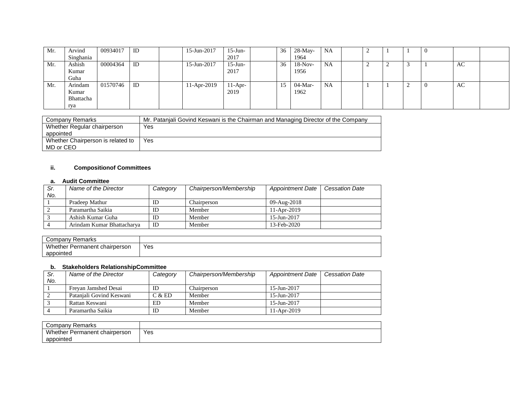| Mr. | Arvind    | 00934017 | ID | 15-Jun-2017 | $15$ -Jun- | 36 | $28-Mav-$ | NA        | ∸ |     | - U |    |  |
|-----|-----------|----------|----|-------------|------------|----|-----------|-----------|---|-----|-----|----|--|
|     | Singhania |          |    |             | 2017       |    | 1964      |           |   |     |     |    |  |
| Mr. | Ashish    | 00004364 | ID | 15-Jun-2017 | $15$ -Jun- | 36 | $18-Nov-$ | NA        | ∸ | - 2 |     | AC |  |
|     | Kumar     |          |    |             | 2017       |    | 1956      |           |   |     |     |    |  |
|     | Guha      |          |    |             |            |    |           |           |   |     |     |    |  |
| Mr. | Arindam   | 01570746 | ID | 11-Apr-2019 | $11-Apr-$  | 15 | $04-Mar-$ | <b>NA</b> |   | ∸   | - U | AC |  |
|     | Kumar     |          |    |             | 2019       |    | 1962      |           |   |     |     |    |  |
|     | Bhattacha |          |    |             |            |    |           |           |   |     |     |    |  |
|     | rya       |          |    |             |            |    |           |           |   |     |     |    |  |

| Company Remarks                   | Mr. Patanjali Govind Keswani is the Chairman and Managing Director of the Company |
|-----------------------------------|-----------------------------------------------------------------------------------|
| Whether Regular chairperson       | Yes                                                                               |
| appointed                         |                                                                                   |
| Whether Chairperson is related to | Yes                                                                               |
| MD or CEO                         |                                                                                   |

# **ii. Compositionof Committees**

### **a. Audit Committee**

| Sr. | Name of the Director       | Category | Chairperson/Membership | <b>Appointment Date</b> | <b>Cessation Date</b> |
|-----|----------------------------|----------|------------------------|-------------------------|-----------------------|
| No. |                            |          |                        |                         |                       |
|     | Pradeep Mathur             | ID       | Chairperson            | 09-Aug-2018             |                       |
|     | Paramartha Saikia          | ID       | Member                 | 11-Apr-2019             |                       |
|     | Ashish Kumar Guha          | ID       | Member                 | $15 - Jun - 2017$       |                       |
|     | Arindam Kumar Bhattacharva | ID       | Member                 | 13-Feb-2020             |                       |

| Company<br>Remarks                      |     |
|-----------------------------------------|-----|
| Whether<br>. chairperson<br>: Permanent | Yes |
| appointed                               |     |

## **b. Stakeholders RelationshipCommittee**

| Sr. | Name of the Director     | Category | Chairperson/Membership | <b>Appointment Date</b>  | <b>Cessation Date</b> |
|-----|--------------------------|----------|------------------------|--------------------------|-----------------------|
| No. |                          |          |                        |                          |                       |
|     | Frevan Jamshed Desai     | ID       | Chairperson            | $15 - \text{Jun} - 2017$ |                       |
|     | Patanjali Govind Keswani | C & E D  | Member                 | $15 - \text{Jun} - 2017$ |                       |
|     | Rattan Keswani           | ED       | Member                 | $15 - Jun - 2017$        |                       |
|     | Paramartha Saikia        | ID       | Member                 | 11-Apr-2019              |                       |

| Remarks<br>∵ompany                            |     |
|-----------------------------------------------|-----|
| Wh.<br>: chairperson<br>hether<br>' Permanent | Yes |
| appointed                                     |     |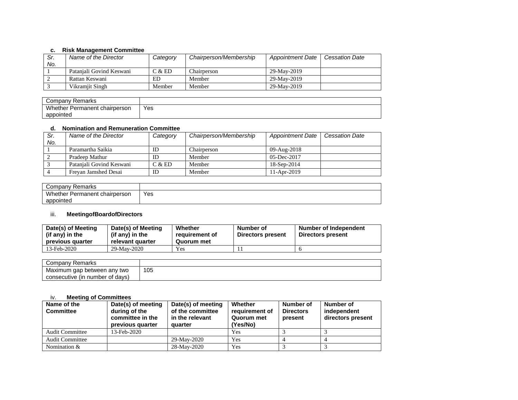#### **c. Risk Management Committee**

| Sr. | Name of the Director     | Category | Chairperson/Membership | <b>Appointment Date</b> | <b>Cessation Date</b> |
|-----|--------------------------|----------|------------------------|-------------------------|-----------------------|
| No. |                          |          |                        |                         |                       |
|     | Pataniali Govind Keswani | C & E D  | Chairperson            | 29-May-2019             |                       |
|     | Rattan Keswani           | ED       | Member                 | 29-May-2019             |                       |
|     | Vikramiit Singh          | Member   | Member                 | 29-May-2019             |                       |

| Company<br>Remarks                                       |            |
|----------------------------------------------------------|------------|
| Wh.<br>t chairperson<br>∩ether<br><sup>.</sup> Permanent | Yes<br>$-$ |
| appointed                                                |            |

### **d. Nomination and Remuneration Committee**

| Sr. | Name of the Director     | Category | Chairperson/Membership | <b>Appointment Date</b> | <b>Cessation Date</b> |
|-----|--------------------------|----------|------------------------|-------------------------|-----------------------|
| No. |                          |          |                        |                         |                       |
|     | Paramartha Saikia        | ID       | Chairperson            | 09-Aug-2018             |                       |
|     | Pradeep Mathur           | ID       | Member                 | $05$ -Dec-2017          |                       |
|     | Patanjali Govind Keswani | C & E D  | Member                 | 18-Sep-2014             |                       |
|     | Frevan Jamshed Desai     | ID       | Member                 | $11-Apr-2019$           |                       |

| Company<br>Remarks            |     |
|-------------------------------|-----|
| Whether Permanent chairperson | Yes |
| appointed                     |     |

## iii. **MeetingofBoardofDirectors**

| Date(s) of Meeting<br>(if any) in the<br>previous quarter | Date(s) of Meeting<br>(if any) in the<br>relevant quarter | Whether<br>reauirement of<br>Quorum met | Number of<br><b>Directors present</b> | <b>Number of Independent</b><br>Directors present |
|-----------------------------------------------------------|-----------------------------------------------------------|-----------------------------------------|---------------------------------------|---------------------------------------------------|
| 13-Feb-2020                                               | 29-May-2020                                               | Yes                                     |                                       |                                                   |

| Remarks<br>Company              |     |
|---------------------------------|-----|
| Maximum gap between any two     | 105 |
| consecutive (in number of days) |     |

### iv. **Meeting of Committees**

| Name of the<br><b>Committee</b> | Date(s) of meeting<br>during of the<br>committee in the<br>previous quarter | Date(s) of meeting<br>of the committee<br>in the relevant<br>quarter | Whether<br>requirement of<br>Quorum met<br>(Yes/No) | Number of<br><b>Directors</b><br>present | Number of<br>independent<br>directors present |
|---------------------------------|-----------------------------------------------------------------------------|----------------------------------------------------------------------|-----------------------------------------------------|------------------------------------------|-----------------------------------------------|
| <b>Audit Committee</b>          | 13-Feb-2020                                                                 |                                                                      | Yes                                                 |                                          |                                               |
| <b>Audit Committee</b>          |                                                                             | 29-May-2020                                                          | Yes                                                 |                                          |                                               |
| Nomination $&$                  |                                                                             | 28-May-2020                                                          | Yes                                                 |                                          |                                               |